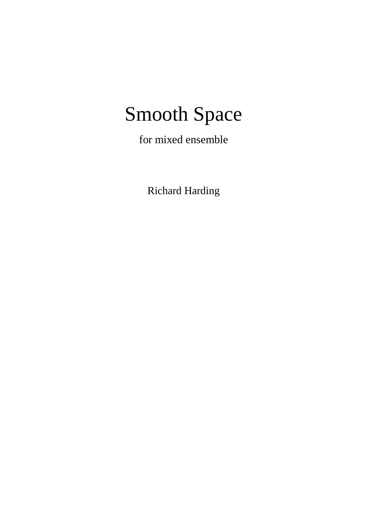## Smooth Space

for mixed ensemble

Richard Harding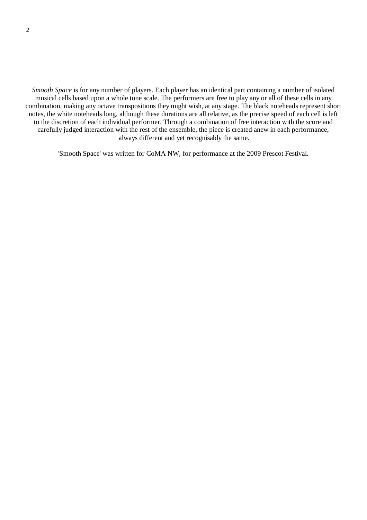*Smooth Space* is for any number of players. Each player has an identical part containing a number of isolated musical cells based upon a whole tone scale. The performers are free to play any or all of these cells in any combination, making any octave transpositions they might wish, at any stage. The black noteheads represent short notes, the white noteheads long, although these durations are all relative, as the precise speed of each cell is left to the discretion of each individual performer. Through a combination of free interaction with the score and carefully judged interaction with the rest of the ensemble, the piece is created anew in each performance, always different and yet recognisably the same.

'Smooth Space' was written for CoMA NW, for performance at the 2009 Prescot Festival.